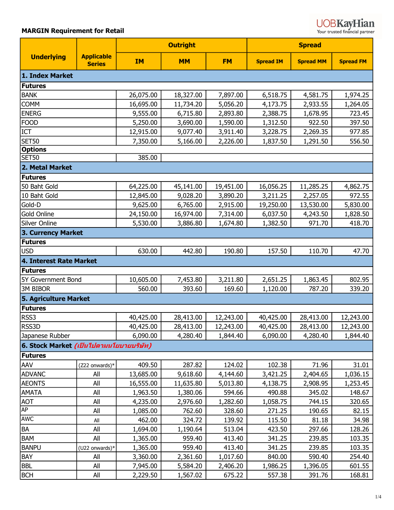| <b>UOBKayHian</b>              |
|--------------------------------|
| Your trusted financial partner |

|                                                |                                    | <b>Outright</b> |           |           | <b>Spread</b>    |                  |                  |  |
|------------------------------------------------|------------------------------------|-----------------|-----------|-----------|------------------|------------------|------------------|--|
| <b>Underlying</b>                              | <b>Applicable</b><br><b>Series</b> | <b>IM</b>       | <b>MM</b> | <b>FM</b> | <b>Spread IM</b> | <b>Spread MM</b> | <b>Spread FM</b> |  |
| 1. Index Market                                |                                    |                 |           |           |                  |                  |                  |  |
| <b>Futures</b>                                 |                                    |                 |           |           |                  |                  |                  |  |
| <b>BANK</b>                                    |                                    | 26,075.00       | 18,327.00 | 7,897.00  | 6,518.75         | 4,581.75         | 1,974.25         |  |
| <b>COMM</b>                                    |                                    | 16,695.00       | 11,734.20 | 5,056.20  | 4,173.75         | 2,933.55         | 1,264.05         |  |
| <b>ENERG</b>                                   |                                    | 9,555.00        | 6,715.80  | 2,893.80  | 2,388.75         | 1,678.95         | 723.45           |  |
| <b>FOOD</b>                                    |                                    | 5,250.00        | 3,690.00  | 1,590.00  | 1,312.50         | 922.50           | 397.50           |  |
| ICT                                            |                                    | 12,915.00       | 9,077.40  | 3,911.40  | 3,228.75         | 2,269.35         | 977.85           |  |
| <b>SET50</b>                                   |                                    | 7,350.00        | 5,166.00  | 2,226.00  | 1,837.50         | 1,291.50         | 556.50           |  |
| <b>Options</b>                                 |                                    |                 |           |           |                  |                  |                  |  |
| <b>SET50</b>                                   |                                    | 385.00          |           |           |                  |                  |                  |  |
| 2. Metal Market                                |                                    |                 |           |           |                  |                  |                  |  |
| <b>Futures</b>                                 |                                    |                 |           |           |                  |                  |                  |  |
| 50 Baht Gold                                   |                                    | 64,225.00       | 45,141.00 | 19,451.00 | 16,056.25        | 11,285.25        | 4,862.75         |  |
| 10 Baht Gold                                   |                                    | 12,845.00       | 9,028.20  | 3,890.20  | 3,211.25         | 2,257.05         | 972.55           |  |
| Gold-D                                         |                                    | 9,625.00        | 6,765.00  | 2,915.00  | 19,250.00        | 13,530.00        | 5,830.00         |  |
| Gold Online                                    |                                    | 24,150.00       | 16,974.00 | 7,314.00  | 6,037.50         | 4,243.50         | 1,828.50         |  |
| Silver Online                                  |                                    | 5,530.00        | 3,886.80  | 1,674.80  | 1,382.50         | 971.70           | 418.70           |  |
| 3. Currency Market                             |                                    |                 |           |           |                  |                  |                  |  |
| <b>Futures</b>                                 |                                    |                 |           |           |                  |                  |                  |  |
| <b>USD</b>                                     |                                    | 630.00          | 442.80    | 190.80    | 157.50           | 110.70           | 47.70            |  |
| 4. Interest Rate Market                        |                                    |                 |           |           |                  |                  |                  |  |
| <b>Futures</b>                                 |                                    |                 |           |           |                  |                  |                  |  |
| 5Y Government Bond                             |                                    | 10,605.00       | 7,453.80  | 3,211.80  | 2,651.25         | 1,863.45         | 802.95           |  |
| <b>3M BIBOR</b>                                |                                    | 560.00          | 393.60    | 169.60    | 1,120.00         | 787.20           | 339.20           |  |
| <b>5. Agriculture Market</b>                   |                                    |                 |           |           |                  |                  |                  |  |
| <b>Futures</b>                                 |                                    |                 |           |           |                  |                  |                  |  |
| RSS3                                           |                                    | 40,425.00       | 28,413.00 | 12,243.00 | 40,425.00        | 28,413.00        | 12,243.00        |  |
| RSS3D                                          |                                    | 40,425.00       | 28,413.00 | 12,243.00 | 40,425.00        | 28,413.00        | 12,243.00        |  |
| Japanese Rubber                                |                                    | 6,090.00        | 4,280.40  | 1,844.40  | 6,090.00         | 4,280.40         | 1,844.40         |  |
| 6. Stock Market <i>(เป็นไปตามนโยบายบริษัท)</i> |                                    |                 |           |           |                  |                  |                  |  |
| Futures                                        |                                    |                 |           |           |                  |                  |                  |  |
| <b>AAV</b>                                     | (Z22 onwards)*                     | 409.50          | 287.82    | 124.02    | 102.38           | 71.96            | 31.01            |  |
| <b>ADVANC</b>                                  | All                                | 13,685.00       | 9,618.60  | 4,144.60  | 3,421.25         | 2,404.65         | 1,036.15         |  |
| <b>AEONTS</b>                                  | All                                | 16,555.00       | 11,635.80 | 5,013.80  | 4,138.75         | 2,908.95         | 1,253.45         |  |
| <b>AMATA</b>                                   | All                                | 1,963.50        | 1,380.06  | 594.66    | 490.88           | 345.02           | 148.67           |  |
| <b>AOT</b>                                     | All                                | 4,235.00        | 2,976.60  | 1,282.60  | 1,058.75         | 744.15           | 320.65           |  |
| AP                                             | All                                | 1,085.00        | 762.60    | 328.60    | 271.25           | 190.65           | 82.15            |  |
| AWC                                            | All                                | 462.00          | 324.72    | 139.92    | 115.50           | 81.18            | 34.98            |  |
| <b>BA</b>                                      | All                                | 1,694.00        | 1,190.64  | 513.04    | 423.50           | 297.66           | 128.26           |  |
| <b>BAM</b>                                     | All                                | 1,365.00        | 959.40    | 413.40    | 341.25           | 239.85           | 103.35           |  |
| <b>BANPU</b>                                   | (U22 onwards)*                     | 1,365.00        | 959.40    | 413.40    | 341.25           | 239.85           | 103.35           |  |
| <b>BAY</b>                                     | All                                | 3,360.00        | 2,361.60  | 1,017.60  | 840.00           | 590.40           | 254.40           |  |
| <b>BBL</b>                                     | All                                | 7,945.00        | 5,584.20  | 2,406.20  | 1,986.25         | 1,396.05         | 601.55           |  |
| <b>BCH</b>                                     | All                                | 2,229.50        | 1,567.02  | 675.22    | 557.38           | 391.76           | 168.81           |  |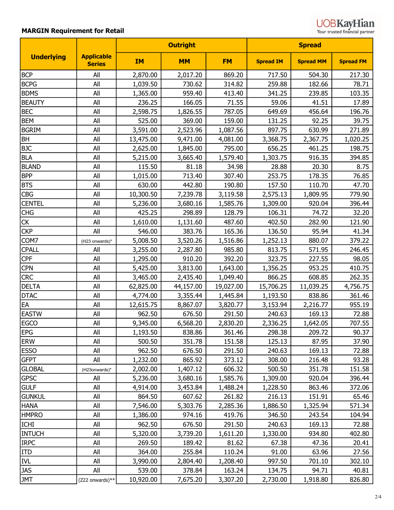| <b>UOBKayHian</b>              |
|--------------------------------|
| Your trusted financial partner |

|                   |                                    |           | <b>Outright</b> |           | <b>Spread</b>    |                  |                  |
|-------------------|------------------------------------|-----------|-----------------|-----------|------------------|------------------|------------------|
| <b>Underlying</b> | <b>Applicable</b><br><b>Series</b> | <b>IM</b> | <b>MM</b>       | <b>FM</b> | <b>Spread IM</b> | <b>Spread MM</b> | <b>Spread FM</b> |
| <b>BCP</b>        | All                                | 2,870.00  | 2,017.20        | 869.20    | 717.50           | 504.30           | 217.30           |
| <b>BCPG</b>       | All                                | 1,039.50  | 730.62          | 314.82    | 259.88           | 182.66           | 78.71            |
| <b>BDMS</b>       | All                                | 1,365.00  | 959.40          | 413.40    | 341.25           | 239.85           | 103.35           |
| <b>BEAUTY</b>     | All                                | 236.25    | 166.05          | 71.55     | 59.06            | 41.51            | 17.89            |
| <b>BEC</b>        | All                                | 2,598.75  | 1,826.55        | 787.05    | 649.69           | 456.64           | 196.76           |
| <b>BEM</b>        | All                                | 525.00    | 369.00          | 159.00    | 131.25           | 92.25            | 39.75            |
| <b>BGRIM</b>      | All                                | 3,591.00  | 2,523.96        | 1,087.56  | 897.75           | 630.99           | 271.89           |
| <b>BH</b>         | All                                | 13,475.00 | 9,471.00        | 4,081.00  | 3,368.75         | 2,367.75         | 1,020.25         |
| <b>BJC</b>        | All                                | 2,625.00  | 1,845.00        | 795.00    | 656.25           | 461.25           | 198.75           |
| <b>BLA</b>        | All                                | 5,215.00  | 3,665.40        | 1,579.40  | 1,303.75         | 916.35           | 394.85           |
| <b>BLAND</b>      | All                                | 115.50    | 81.18           | 34.98     | 28.88            | 20.30            | 8.75             |
| <b>BPP</b>        | All                                | 1,015.00  | 713.40          | 307.40    | 253.75           | 178.35           | 76.85            |
| <b>BTS</b>        | All                                | 630.00    | 442.80          | 190.80    | 157.50           | 110.70           | 47.70            |
| <b>CBG</b>        | All                                | 10,300.50 | 7,239.78        | 3,119.58  | 2,575.13         | 1,809.95         | 779.90           |
| <b>CENTEL</b>     | All                                | 5,236.00  | 3,680.16        | 1,585.76  | 1,309.00         | 920.04           | 396.44           |
| <b>CHG</b>        | All                                | 425.25    | 298.89          | 128.79    | 106.31           | 74.72            | 32.20            |
| <b>CK</b>         | All                                | 1,610.00  | 1,131.60        | 487.60    | 402.50           | 282.90           | 121.90           |
| <b>CKP</b>        | All                                | 546.00    | 383.76          | 165.36    | 136.50           | 95.94            | 41.34            |
| COM7              | (H23 onwards)*                     | 5,008.50  | 3,520.26        | 1,516.86  | 1,252.13         | 880.07           | 379.22           |
| <b>CPALL</b>      | All                                | 3,255.00  | 2,287.80        | 985.80    | 813.75           | 571.95           | 246.45           |
| <b>CPF</b>        | All                                | 1,295.00  | 910.20          | 392.20    | 323.75           | 227.55           | 98.05            |
| <b>CPN</b>        | All                                | 5,425.00  | 3,813.00        | 1,643.00  | 1,356.25         | 953.25           | 410.75           |
| <b>CRC</b>        | All                                | 3,465.00  | 2,435.40        | 1,049.40  | 866.25           | 608.85           | 262.35           |
| <b>DELTA</b>      | All                                | 62,825.00 | 44,157.00       | 19,027.00 | 15,706.25        | 11,039.25        | 4,756.75         |
| <b>DTAC</b>       | All                                | 4,774.00  | 3,355.44        | 1,445.84  | 1,193.50         | 838.86           | 361.46           |
| EA                | All                                | 12,615.75 | 8,867.07        | 3,820.77  | 3,153.94         | 2,216.77         | 955.19           |
| <b>EASTW</b>      | All                                | 962.50    | 676.50          | 291.50    | 240.63           | 169.13           | 72.88            |
| <b>EGCO</b>       | All                                | 9,345.00  | 6,568.20        | 2,830.20  | 2,336.25         | 1,642.05         | 707.55           |
| <b>EPG</b>        | All                                | 1,193.50  | 838.86          | 361.46    | 298.38           | 209.72           | 90.37            |
| <b>ERW</b>        | All                                | 500.50    | 351.78          | 151.58    | 125.13           | 87.95            | 37.90            |
| <b>ESSO</b>       | All                                | 962.50    | 676.50          | 291.50    | 240.63           | 169.13           | 72.88            |
| <b>GFPT</b>       | All                                | 1,232.00  | 865.92          | 373.12    | 308.00           | 216.48           | 93.28            |
| <b>GLOBAL</b>     | (H23onwards)*                      | 2,002.00  | 1,407.12        | 606.32    | 500.50           | 351.78           | 151.58           |
| <b>GPSC</b>       | All                                | 5,236.00  | 3,680.16        | 1,585.76  | 1,309.00         | 920.04           | 396.44           |
| <b>GULF</b>       | All                                | 4,914.00  | 3,453.84        | 1,488.24  | 1,228.50         | 863.46           | 372.06           |
| gunkul            | All                                | 864.50    | 607.62          | 261.82    | 216.13           | 151.91           | 65.46            |
| <b>HANA</b>       | All                                | 7,546.00  | 5,303.76        | 2,285.36  | 1,886.50         | 1,325.94         | 571.34           |
| <b>HMPRO</b>      | All                                | 1,386.00  | 974.16          | 419.76    | 346.50           | 243.54           | 104.94           |
| ICHI              | All                                | 962.50    | 676.50          | 291.50    | 240.63           | 169.13           | 72.88            |
| <b>INTUCH</b>     | All                                | 5,320.00  | 3,739.20        | 1,611.20  | 1,330.00         | 934.80           | 402.80           |
| <b>IRPC</b>       | All                                | 269.50    | 189.42          | 81.62     | 67.38            | 47.36            | 20.41            |
| <b>ITD</b>        | All                                | 364.00    | 255.84          | 110.24    | 91.00            | 63.96            | 27.56            |
| <b>IVL</b>        | All                                | 3,990.00  | 2,804.40        | 1,208.40  | 997.50           | 701.10           | 302.10           |
| JAS               | All                                | 539.00    | 378.84          | 163.24    | 134.75           | 94.71            | 40.81            |
| JMT               | (Z22 onwards)**                    | 10,920.00 | 7,675.20        | 3,307.20  | 2,730.00         | 1,918.80         | 826.80           |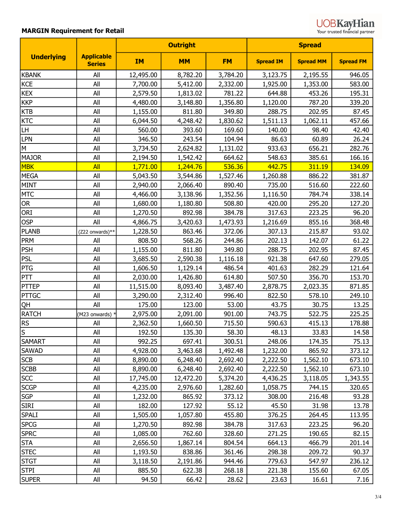| <b>UOBKavHian</b>              |
|--------------------------------|
| Your trusted financial partner |

|                   |                                    |           | <b>Outright</b> | <b>Spread</b> |                  |                  |                  |
|-------------------|------------------------------------|-----------|-----------------|---------------|------------------|------------------|------------------|
| <b>Underlying</b> | <b>Applicable</b><br><b>Series</b> | <b>IM</b> | <b>MM</b>       | <b>FM</b>     | <b>Spread IM</b> | <b>Spread MM</b> | <b>Spread FM</b> |
| <b>KBANK</b>      | All                                | 12,495.00 | 8,782.20        | 3,784.20      | 3,123.75         | 2,195.55         | 946.05           |
| <b>KCE</b>        | All                                | 7,700.00  | 5,412.00        | 2,332.00      | 1,925.00         | 1,353.00         | 583.00           |
| <b>KEX</b>        | All                                | 2,579.50  | 1,813.02        | 781.22        | 644.88           | 453.26           | 195.31           |
| <b>KKP</b>        | All                                | 4,480.00  | 3,148.80        | 1,356.80      | 1,120.00         | 787.20           | 339.20           |
| <b>KTB</b>        | All                                | 1,155.00  | 811.80          | 349.80        | 288.75           | 202.95           | 87.45            |
| <b>KTC</b>        | All                                | 6,044.50  | 4,248.42        | 1,830.62      | 1,511.13         | 1,062.11         | 457.66           |
| LH                | All                                | 560.00    | 393.60          | 169.60        | 140.00           | 98.40            | 42.40            |
| <b>LPN</b>        | All                                | 346.50    | 243.54          | 104.94        | 86.63            | 60.89            | 26.24            |
| M                 | All                                | 3,734.50  | 2,624.82        | 1,131.02      | 933.63           | 656.21           | 282.76           |
| <b>MAJOR</b>      | All                                | 2,194.50  | 1,542.42        | 664.62        | 548.63           | 385.61           | 166.16           |
| <b>MBK</b>        | All                                | 1,771.00  | 1,244.76        | 536.36        | 442.75           | 311.19           | 134.09           |
| <b>MEGA</b>       | All                                | 5,043.50  | 3,544.86        | 1,527.46      | 1,260.88         | 886.22           | 381.87           |
| <b>MINT</b>       | All                                | 2,940.00  | 2,066.40        | 890.40        | 735.00           | 516.60           | 222.60           |
| <b>MTC</b>        | All                                | 4,466.00  | 3,138.96        | 1,352.56      | 1,116.50         | 784.74           | 338.14           |
| <b>OR</b>         | All                                | 1,680.00  | 1,180.80        | 508.80        | 420.00           | 295.20           | 127.20           |
| ORI               | All                                | 1,270.50  | 892.98          | 384.78        | 317.63           | 223.25           | 96.20            |
| <b>OSP</b>        | All                                | 4,866.75  | 3,420.63        | 1,473.93      | 1,216.69         | 855.16           | 368.48           |
| <b>PLANB</b>      | (Z22 onwards)**                    | 1,228.50  | 863.46          | 372.06        | 307.13           | 215.87           | 93.02            |
| <b>PRM</b>        | All                                | 808.50    | 568.26          | 244.86        | 202.13           | 142.07           | 61.22            |
| <b>PSH</b>        | All                                | 1,155.00  | 811.80          | 349.80        | 288.75           | 202.95           | 87.45            |
| <b>PSL</b>        | All                                | 3,685.50  | 2,590.38        | 1,116.18      | 921.38           | 647.60           | 279.05           |
| PTG               | All                                | 1,606.50  | 1,129.14        | 486.54        | 401.63           | 282.29           | 121.64           |
| PTT               | All                                | 2,030.00  | 1,426.80        | 614.80        | 507.50           | 356.70           | 153.70           |
| <b>PTTEP</b>      | All                                | 11,515.00 | 8,093.40        | 3,487.40      | 2,878.75         | 2,023.35         | 871.85           |
| <b>PTTGC</b>      | All                                | 3,290.00  | 2,312.40        | 996.40        | 822.50           | 578.10           | 249.10           |
| QH                | All                                | 175.00    | 123.00          | 53.00         | 43.75            | 30.75            | 13.25            |
| <b>RATCH</b>      | (M23 onwards) *                    | 2,975.00  | 2,091.00        | 901.00        | 743.75           | 522.75           | 225.25           |
| <b>RS</b>         | All                                | 2,362.50  | 1,660.50        | 715.50        | 590.63           | 415.13           | 178.88           |
| ls                | All                                | 192.50    | 135.30          | 58.30         | 48.13            | 33.83            | 14.58            |
| <b>SAMART</b>     | All                                | 992.25    | 697.41          | 300.51        | 248.06           | 174.35           | 75.13            |
| <b>SAWAD</b>      | All                                | 4,928.00  | 3,463.68        | 1,492.48      | 1,232.00         | 865.92           | 373.12           |
| <b>SCB</b>        | All                                | 8,890.00  | 6,248.40        | 2,692.40      | 2,222.50         | 1,562.10         | 673.10           |
| <b>SCBB</b>       | All                                | 8,890.00  | 6,248.40        | 2,692.40      | 2,222.50         | 1,562.10         | 673.10           |
| <b>SCC</b>        | All                                | 17,745.00 | 12,472.20       | 5,374.20      | 4,436.25         | 3,118.05         | 1,343.55         |
| <b>SCGP</b>       | All                                | 4,235.00  | 2,976.60        | 1,282.60      | 1,058.75         | 744.15           | 320.65           |
| <b>SGP</b>        | All                                | 1,232.00  | 865.92          | 373.12        | 308.00           | 216.48           | 93.28            |
| <b>SIRI</b>       | All                                | 182.00    | 127.92          | 55.12         | 45.50            | 31.98            | 13.78            |
| <b>SPALI</b>      | All                                | 1,505.00  | 1,057.80        | 455.80        | 376.25           | 264.45           | 113.95           |
| <b>SPCG</b>       | All                                | 1,270.50  | 892.98          | 384.78        | 317.63           | 223.25           | 96.20            |
| <b>SPRC</b>       | All                                | 1,085.00  | 762.60          | 328.60        | 271.25           | 190.65           | 82.15            |
| <b>STA</b>        | All                                | 2,656.50  | 1,867.14        | 804.54        | 664.13           | 466.79           | 201.14           |
| <b>STEC</b>       | All                                | 1,193.50  | 838.86          | 361.46        | 298.38           | 209.72           | 90.37            |
| <b>STGT</b>       | All                                | 3,118.50  | 2,191.86        | 944.46        | 779.63           | 547.97           | 236.12           |
| <b>STPI</b>       | All                                | 885.50    | 622.38          | 268.18        | 221.38           | 155.60           | 67.05            |
| <b>SUPER</b>      | All                                | 94.50     | 66.42           | 28.62         | 23.63            | 16.61            | 7.16             |